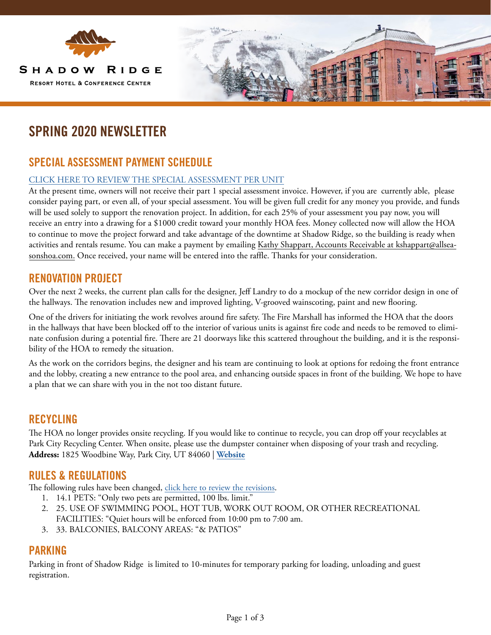

# **SPRING 2020 NEWSLETTER**

### **SPECIAL ASSESSMENT PAYMENT SCHEDULE**

#### [CLICK HERE TO REVIEW THE SPECIAL ASSESSMENT PER UNIT](https://www.allseasonsresortlodging.com/wp-content/uploads/2020/05/SR-2020-Special-Assessment-per-Unit.pdf)

At the present time, owners will not receive their part 1 special assessment invoice. However, if you are currently able, please consider paying part, or even all, of your special assessment. You will be given full credit for any money you provide, and funds will be used solely to support the renovation project. In addition, for each 25% of your assessment you pay now, you will receive an entry into a drawing for a \$1000 credit toward your monthly HOA fees. Money collected now will allow the HOA to continue to move the project forward and take advantage of the downtime at Shadow Ridge, so the building is ready when activities and rentals resume. You can make a payment by emailing Kathy Shappart, Accounts Receivable at kshappart@allseasonshoa.com. Once received, your name will be entered into the raffle. Thanks for your consideration.

### **RENOVATION PROJECT**

Over the next 2 weeks, the current plan calls for the designer, Jeff Landry to do a mockup of the new corridor design in one of the hallways. The renovation includes new and improved lighting, V-grooved wainscoting, paint and new flooring.

One of the drivers for initiating the work revolves around fire safety. The Fire Marshall has informed the HOA that the doors in the hallways that have been blocked off to the interior of various units is against fire code and needs to be removed to eliminate confusion during a potential fire. There are 21 doorways like this scattered throughout the building, and it is the responsibility of the HOA to remedy the situation.

As the work on the corridors begins, the designer and his team are continuing to look at options for redoing the front entrance and the lobby, creating a new entrance to the pool area, and enhancing outside spaces in front of the building. We hope to have a plan that we can share with you in the not too distant future.

#### **RECYCLING**

The HOA no longer provides onsite recycling. If you would like to continue to recycle, you can drop off your recyclables at Park City Recycling Center. When onsite, please use the dumpster container when disposing of your trash and recycling. **Address:** 1825 Woodbine Way, Park City, UT 84060 | **[Website](http://www.recycleutah.org/)**

#### **RULES & REGULATIONS**

The following rules have been changed, [click here to review the revisions.](https://www.allseasonsresortlodging.com/wp-content/uploads/2020/03/Shadow-Ridge-Rules-Final-Adopted-2020-1.pdf)

- 1. 14.1 PETS: "Only two pets are permitted, 100 lbs. limit."
- 2. 25. USE OF SWIMMING POOL, HOT TUB, WORK OUT ROOM, OR OTHER RECREATIONAL FACILITIES: "Quiet hours will be enforced from 10:00 pm to 7:00 am.
- 3. 33. BALCONIES, BALCONY AREAS: "& PATIOS"

### **PARKING**

Parking in front of Shadow Ridge is limited to 10-minutes for temporary parking for loading, unloading and guest registration.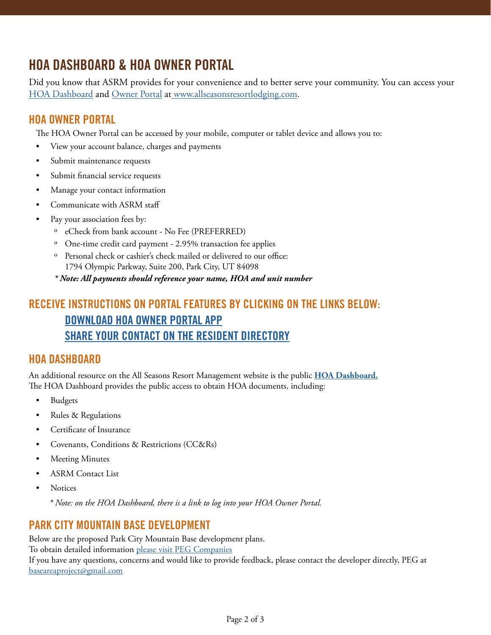## **HOA DASHBOARD & HOA OWNER PORTAL**

Did you know that ASRM provides for your convenience and to better serve your community. You can access your [HOA Dashboard](https://www.allseasonsresortlodging.com/hoa/) and [Owner Portal](https://allseasonsresortlodging.managebuilding.com/Resident/portal/login) at [www.allseasonsresortlodging.com.](https://www.allseasonsresortlodging.com/)

### **HOA OWNER PORTAL**

The HOA Owner Portal can be accessed by your mobile, computer or tablet device and allows you to:

- View your account balance, charges and payments
- Submit maintenance requests
- Submit financial service requests
- Manage your contact information
- Communicate with ASRM staff
- Pay your association fees by:
	- ˏ eCheck from bank account No Fee (PREFERRED)
	- ˏ One-time credit card payment 2.95% transaction fee applies
	- ˏ Personal check or cashier's check mailed or delivered to our office: 1794 Olympic Parkway, Suite 200, Park City, UT 84098

*\* Note: All payments should reference your name, HOA and unit number* 

## **RECEIVE INSTRUCTIONS ON PORTAL FEATURES BY CLICKING ON THE LINKS BELOW: [DOWNLOAD HOA OWNER PORTAL APP](https://www.allseasonsresortlodging.com/wp-content/uploads/2020/04/ASRM-HOA-Homeowner-Portal-Mobile-App.pdf) [SHARE YOUR CONTACT ON THE RESIDENT DIRECTORY](https://www.allseasonsresortlodging.com/wp-content/uploads/2020/02/how-to-share-your-contact-information-with-your-HOA-neighbors.pdf)**

### **HOA DASHBOARD**

An additional resource on the All Seasons Resort Management website is the public **[HOA Dashboard.](https://www.allseasonsresortlodging.com/hoa/)** The HOA Dashboard provides the public access to obtain HOA documents, including:

- Budgets
- Rules & Regulations
- Certificate of Insurance
- Covenants, Conditions & Restrictions (CC&Rs)
- Meeting Minutes
- ASRM Contact List
- Notices

*\* Note: on the HOA Dashboard, there is a link to log into your HOA Owner Portal.*

### **PARK CITY MOUNTAIN BASE DEVELOPMENT**

Below are the proposed Park City Mountain Base development plans. To obtain detailed information [please visit PEG Companies](https://pegcompanies.com/projects/parkcitybasearea/) If you have any questions, concerns and would like to provide feedback, please contact the developer directly, PEG at [baseareaproject@gmail.com](mailto:baseareaproject@gmail.com)